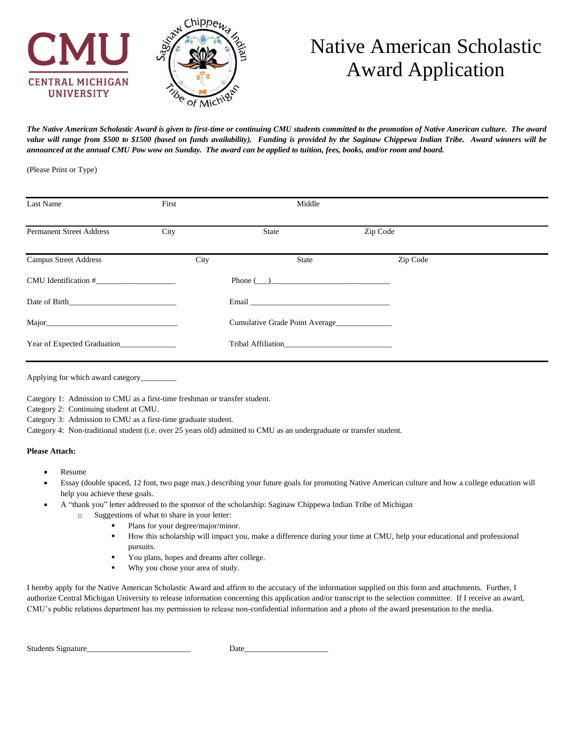

# Native American Scholastic Award Application

*The Native American Scholastic Award is given to first-time or continuing CMU students committed to the promotion of Native American culture. The award value will range from \$500 to \$1500 (based on funds availability). Funding is provided by the Saginaw Chippewa Indian Tribe. Award winners will be announced at the annual CMU Pow wow on Sunday. The award can be applied to tuition, fees, books, and/or room and board.*

(Please Print or Type)

| Last Name                       | First |      | Middle                                                                                                                                                                                                                         |          |  |
|---------------------------------|-------|------|--------------------------------------------------------------------------------------------------------------------------------------------------------------------------------------------------------------------------------|----------|--|
| <b>Permanent Street Address</b> | City  |      | State                                                                                                                                                                                                                          | Zip Code |  |
| <b>Campus Street Address</b>    |       | City | <b>State</b>                                                                                                                                                                                                                   | Zip Code |  |
| $CMU$ Identification $#$        |       |      | Phone( )                                                                                                                                                                                                                       |          |  |
| Date of Birth Date of Birth     |       |      | Email experience and the contract of the contract of the contract of the contract of the contract of the contract of the contract of the contract of the contract of the contract of the contract of the contract of the contr |          |  |
|                                 |       |      | Cumulative Grade Point Average                                                                                                                                                                                                 |          |  |
| Year of Expected Graduation     |       |      | Tribal Affiliation                                                                                                                                                                                                             |          |  |
|                                 |       |      |                                                                                                                                                                                                                                |          |  |

Applying for which award category\_

Category 1: Admission to CMU as a first-time freshman or transfer student.

Category 2: Continuing student at CMU.

Category 3: Admission to CMU as a first-time graduate student.

Category 4: Non-traditional student (i.e. over 25 years old) admitted to CMU as an undergraduate or transfer student.

#### **Please Attach:**

- Resume
- Essay (double spaced, 12 font, two page max.) describing your future goals for promoting Native American culture and how a college education will help you achieve these goals.
- A "thank you" letter addressed to the sponsor of the scholarship: Saginaw Chippewa Indian Tribe of Michigan
	- o Suggestions of what to share in your letter:
		- Plans for your degree/major/minor.
		- How this scholarship will impact you, make a difference during your time at CMU, help your educational and professional pursuits.
		- You plans, hopes and dreams after college.
		- Why you chose your area of study.

I hereby apply for the Native American Scholastic Award and affirm to the accuracy of the information supplied on this form and attachments. Further, I authorize Central Michigan University to release information concerning this application and/or transcript to the selection committee. If I receive an award, CMU's public relations department has my permission to release non-confidential information and a photo of the award presentation to the media.

| <b>Students Signature</b> | Jat |
|---------------------------|-----|
|                           |     |